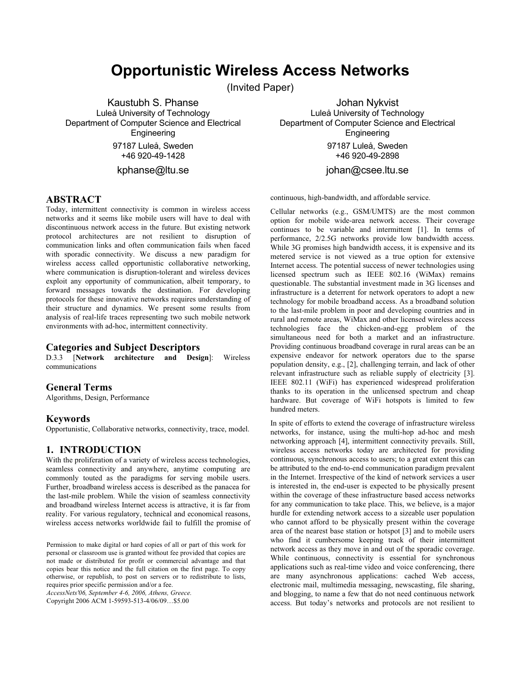## **Opportunistic Wireless Access Networks**

(Invited Paper)

Kaustubh S. Phanse Luleå University of Technology Department of Computer Science and Electrical **Engineering** 97187 Luleå, Sweden +46 920-49-1428

kphanse@ltu.se

#### **ABSTRACT**

Today, intermittent connectivity is common in wireless access networks and it seems like mobile users will have to deal with discontinuous network access in the future. But existing network protocol architectures are not resilient to disruption of communication links and often communication fails when faced with sporadic connectivity. We discuss a new paradigm for wireless access called opportunistic collaborative networking, where communication is disruption-tolerant and wireless devices exploit any opportunity of communication, albeit temporary, to forward messages towards the destination. For developing protocols for these innovative networks requires understanding of their structure and dynamics. We present some results from analysis of real-life traces representing two such mobile network environments with ad-hoc, intermittent connectivity.

# **Categories and Subject Descriptors**<br>D.3.3 [Network architecture and Desis

D.3.3 [**Network architecture and Design**]: Wireless communications

#### **General Terms**

Algorithms, Design, Performance

#### **Keywords**

Opportunistic, Collaborative networks, connectivity, trace, model.

#### **1. INTRODUCTION**

With the proliferation of a variety of wireless access technologies, seamless connectivity and anywhere, anytime computing are commonly touted as the paradigms for serving mobile users. Further, broadband wireless access is described as the panacea for the last-mile problem. While the vision of seamless connectivity and broadband wireless Internet access is attractive, it is far from reality. For various regulatory, technical and economical reasons, wireless access networks worldwide fail to fulfill the promise of

Permission to make digital or hard copies of all or part of this work for personal or classroom use is granted without fee provided that copies are not made or distributed for profit or commercial advantage and that copies bear this notice and the full citation on the first page. To copy otherwise, or republish, to post on servers or to redistribute to lists, requires prior specific permission and/or a fee.

*AccessNets'06, September 4-6, 2006, Athens, Greece.* 

Copyright 2006 ACM 1-59593-513-4/06/09…\$5.00

Johan Nykvist Luleå University of Technology Department of Computer Science and Electrical Engineering 97187 Luleå, Sweden +46 920-49-2898

johan@csee.ltu.se

continuous, high-bandwidth, and affordable service.

Cellular networks (e.g., GSM/UMTS) are the most common option for mobile wide-area network access. Their coverage continues to be variable and intermittent [1]. In terms of performance, 2/2.5G networks provide low bandwidth access. While 3G promises high bandwidth access, it is expensive and its metered service is not viewed as a true option for extensive Internet access. The potential success of newer technologies using licensed spectrum such as IEEE 802.16 (WiMax) remains questionable. The substantial investment made in 3G licenses and infrastructure is a deterrent for network operators to adopt a new technology for mobile broadband access. As a broadband solution to the last-mile problem in poor and developing countries and in rural and remote areas, WiMax and other licensed wireless access technologies face the chicken-and-egg problem of the simultaneous need for both a market and an infrastructure. Providing continuous broadband coverage in rural areas can be an expensive endeavor for network operators due to the sparse population density, e.g., [2], challenging terrain, and lack of other relevant infrastructure such as reliable supply of electricity [3]. IEEE 802.11 (WiFi) has experienced widespread proliferation thanks to its operation in the unlicensed spectrum and cheap hardware. But coverage of WiFi hotspots is limited to few hundred meters.

In spite of efforts to extend the coverage of infrastructure wireless networks, for instance, using the multi-hop ad-hoc and mesh networking approach [4], intermittent connectivity prevails. Still, wireless access networks today are architected for providing continuous, synchronous access to users; to a great extent this can be attributed to the end-to-end communication paradigm prevalent in the Internet. Irrespective of the kind of network services a user is interested in, the end-user is expected to be physically present within the coverage of these infrastructure based access networks for any communication to take place. This, we believe, is a major hurdle for extending network access to a sizeable user population who cannot afford to be physically present within the coverage area of the nearest base station or hotspot [3] and to mobile users who find it cumbersome keeping track of their intermittent network access as they move in and out of the sporadic coverage. While continuous, connectivity is essential for synchronous applications such as real-time video and voice conferencing, there are many asynchronous applications: cached Web access, electronic mail, multimedia messaging, newscasting, file sharing, and blogging, to name a few that do not need continuous network access. But today's networks and protocols are not resilient to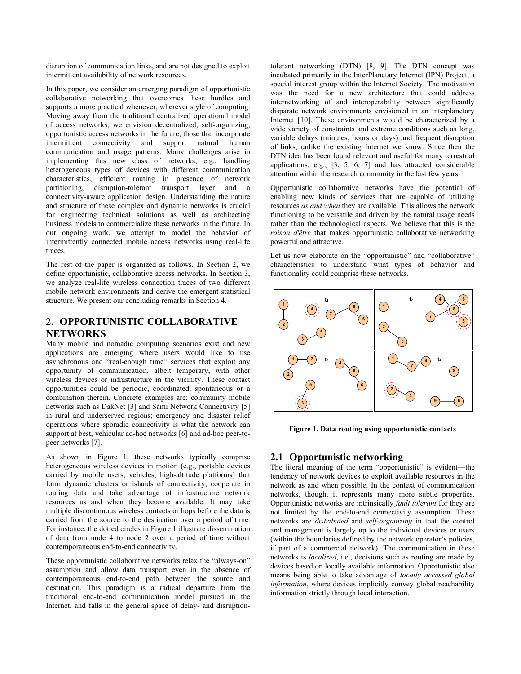disruption of communication links, and are not designed to exploit intermittent availability of network resources.

In this paper, we consider an emerging paradigm of opportunistic collaborative networking that overcomes these hurdles and supports a more practical whenever, wherever style of computing. Moving away from the traditional centralized operational model of access networks, we envision decentralized, self-organizing, opportunistic access networks in the future, those that incorporate intermittent connectivity and support natural human communication and usage patterns. Many challenges arise in implementing this new class of networks, e.g., handling heterogeneous types of devices with different communication characteristics, efficient routing in presence of network partitioning, disruption-tolerant transport layer and a connectivity-aware application design. Understanding the nature and structure of these complex and dynamic networks is crucial for engineering technical solutions as well as architecting business models to commercialize these networks in the future. In our ongoing work, we attempt to model the behavior of intermittently connected mobile access networks using real-life traces.

The rest of the paper is organized as follows. In Section 2, we define opportunistic, collaborative access networks. In Section 3, we analyze real-life wireless connection traces of two different mobile network environments and derive the emergent statistical structure. We present our concluding remarks in Section 4.

### **2. OPPORTUNISTIC COLLABORATIVE NETWORKS**

Many mobile and nomadic computing scenarios exist and new applications are emerging where users would like to use asynchronous and "real-enough time" services that exploit any opportunity of communication, albeit temporary, with other wireless devices or infrastructure in the vicinity. These contact opportunities could be periodic, coordinated, spontaneous or a combination therein. Concrete examples are: community mobile networks such as DakNet [3] and Sámi Network Connectivity [5] in rural and underserved regions; emergency and disaster relief operations where sporadic connectivity is what the network can support at best, vehicular ad-hoc networks [6] and ad-hoc peer-topeer networks [7].

As shown in Figure 1, these networks typically comprise heterogeneous wireless devices in motion (e.g., portable devices carried by mobile users, vehicles, high-altitude platforms) that form dynamic clusters or islands of connectivity, cooperate in routing data and take advantage of infrastructure network resources as and when they become available. It may take multiple discontinuous wireless contacts or hops before the data is carried from the source to the destination over a period of time. For instance, the dotted circles in Figure 1 illustrate dissemination of data from node 4 to node 2 over a period of time without contemporaneous end-to-end connectivity.

These opportunistic collaborative networks relax the "always-on" assumption and allow data transport even in the absence of contemporaneous end-to-end path between the source and destination. This paradigm is a radical departure from the traditional end-to-end communication model pursued in the Internet, and falls in the general space of delay- and disruptiontolerant networking (DTN) [8, 9]. The DTN concept was incubated primarily in the InterPlanetary Internet (IPN) Project, a special interest group within the Internet Society. The motivation was the need for a new architecture that could address internetworking of and interoperability between significantly disparate network environments envisioned in an interplanetary Internet [10]. These environments would be characterized by a wide variety of constraints and extreme conditions such as long, variable delays (minutes, hours or days) and frequent disruption of links, unlike the existing Internet we know. Since then the DTN idea has been found relevant and useful for many terrestrial applications, e.g., [3, 5, 6, 7] and has attracted considerable attention within the research community in the last few years.

Opportunistic collaborative networks have the potential of enabling new kinds of services that are capable of utilizing resources *as and when* they are available. This allows the network functioning to be versatile and driven by the natural usage needs rather than the technological aspects. We believe that this is the *raison d'être* that makes opportunistic collaborative networking powerful and attractive.

Let us now elaborate on the "opportunistic" and "collaborative" characteristics to understand what types of behavior and functionality could comprise these networks.



**Figure 1. Data routing using opportunistic contacts** 

#### **2.1 Opportunistic networking**

The literal meaning of the term "opportunistic" is evident—the tendency of network devices to exploit available resources in the network as and when possible. In the context of communication networks, though, it represents many more subtle properties. Opportunistic networks are intrinsically *fault tolerant* for they are not limited by the end-to-end connectivity assumption. These networks are *distributed* and *self-organizing* in that the control and management is largely up to the individual devices or users (within the boundaries defined by the network operator's policies, if part of a commercial network). The communication in these networks is *localized*, i.e., decisions such as routing are made by devices based on locally available information. Opportunistic also means being able to take advantage of *locally accessed global information*, where devices implicitly convey global reachability information strictly through local interaction.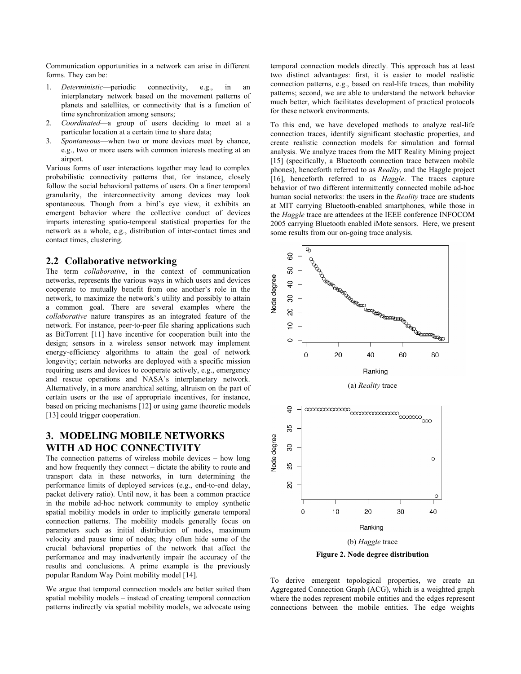Communication opportunities in a network can arise in different forms. They can be:

- 1. *Deterministic*—periodic connectivity, e.g., in an interplanetary network based on the movement patterns of planets and satellites, or connectivity that is a function of time synchronization among sensors;
- 2. *Coordinated*—a group of users deciding to meet at a particular location at a certain time to share data;
- 3. *Spontaneous*—when two or more devices meet by chance, e.g., two or more users with common interests meeting at an airport.

Various forms of user interactions together may lead to complex probabilistic connectivity patterns that, for instance, closely follow the social behavioral patterns of users. On a finer temporal granularity, the interconnectivity among devices may look spontaneous. Though from a bird's eye view, it exhibits an emergent behavior where the collective conduct of devices imparts interesting spatio-temporal statistical properties for the network as a whole, e.g., distribution of inter-contact times and contact times, clustering.

#### **2.2 Collaborative networking**

The term *collaborative*, in the context of communication networks, represents the various ways in which users and devices cooperate to mutually benefit from one another's role in the network, to maximize the network's utility and possibly to attain a common goal. There are several examples where the *collaborative* nature transpires as an integrated feature of the network. For instance, peer-to-peer file sharing applications such as BitTorrent [11] have incentive for cooperation built into the design; sensors in a wireless sensor network may implement energy-efficiency algorithms to attain the goal of network longevity; certain networks are deployed with a specific mission requiring users and devices to cooperate actively, e.g., emergency and rescue operations and NASA's interplanetary network. Alternatively, in a more anarchical setting, altruism on the part of certain users or the use of appropriate incentives, for instance, based on pricing mechanisms [12] or using game theoretic models [13] could trigger cooperation.

#### **3. MODELING MOBILE NETWORKS WITH AD HOC CONNECTIVITY**

The connection patterns of wireless mobile devices – how long and how frequently they connect – dictate the ability to route and transport data in these networks, in turn determining the performance limits of deployed services (e.g., end-to-end delay, packet delivery ratio). Until now, it has been a common practice in the mobile ad-hoc network community to employ synthetic spatial mobility models in order to implicitly generate temporal connection patterns. The mobility models generally focus on parameters such as initial distribution of nodes, maximum velocity and pause time of nodes; they often hide some of the crucial behavioral properties of the network that affect the performance and may inadvertently impair the accuracy of the results and conclusions. A prime example is the previously popular Random Way Point mobility model [14].

We argue that temporal connection models are better suited than spatial mobility models – instead of creating temporal connection patterns indirectly via spatial mobility models, we advocate using temporal connection models directly. This approach has at least two distinct advantages: first, it is easier to model realistic connection patterns, e.g., based on real-life traces, than mobility patterns; second, we are able to understand the network behavior much better, which facilitates development of practical protocols for these network environments.

To this end, we have developed methods to analyze real-life connection traces, identify significant stochastic properties, and create realistic connection models for simulation and formal analysis. We analyze traces from the MIT Reality Mining project [15] (specifically, a Bluetooth connection trace between mobile phones), henceforth referred to as *Reality*, and the Haggle project [16], henceforth referred to as *Haggle*. The traces capture behavior of two different intermittently connected mobile ad-hoc human social networks: the users in the *Reality* trace are students at MIT carrying Bluetooth-enabled smartphones, while those in the *Haggle* trace are attendees at the IEEE conference INFOCOM 2005 carrying Bluetooth enabled iMote sensors. Here, we present some results from our on-going trace analysis.



To derive emergent topological properties, we create an Aggregated Connection Graph (ACG), which is a weighted graph where the nodes represent mobile entities and the edges represent connections between the mobile entities. The edge weights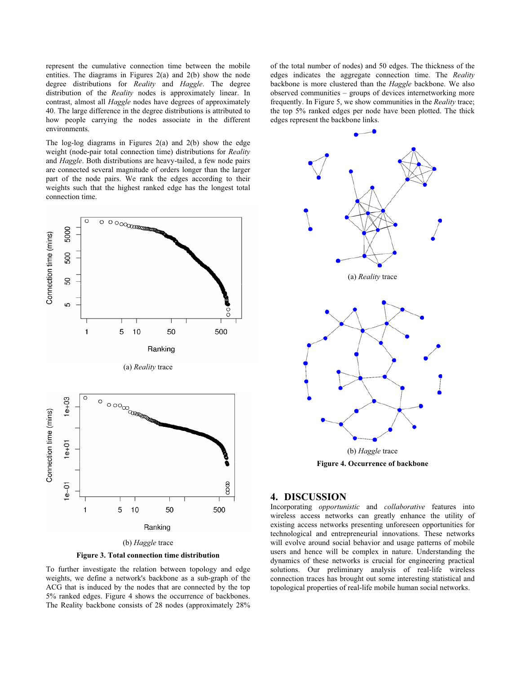represent the cumulative connection time between the mobile entities. The diagrams in Figures 2(a) and 2(b) show the node degree distributions for *Reality* and *Haggle*. The degree distribution of the *Reality* nodes is approximately linear. In contrast, almost all *Haggle* nodes have degrees of approximately 40. The large difference in the degree distributions is attributed to how people carrying the nodes associate in the different environments.

The log-log diagrams in Figures 2(a) and 2(b) show the edge weight (node-pair total connection time) distributions for *Reality* and *Haggle*. Both distributions are heavy-tailed, a few node pairs are connected several magnitude of orders longer than the larger part of the node pairs. We rank the edges according to their weights such that the highest ranked edge has the longest total connection time.



(b) *Haggle* trace

**Figure 3. Total connection time distribution** 

To further investigate the relation between topology and edge weights, we define a network's backbone as a sub-graph of the ACG that is induced by the nodes that are connected by the top 5% ranked edges. Figure 4 shows the occurrence of backbones. The Reality backbone consists of 28 nodes (approximately 28% of the total number of nodes) and 50 edges. The thickness of the edges indicates the aggregate connection time. The *Reality* backbone is more clustered than the *Haggle* backbone. We also observed communities – groups of devices internetworking more frequently. In Figure 5, we show communities in the *Reality* trace; the top 5% ranked edges per node have been plotted. The thick edges represent the backbone links.



#### **4. DISCUSSION**

Incorporating *opportunistic* and *collaborative* features into wireless access networks can greatly enhance the utility of existing access networks presenting unforeseen opportunities for technological and entrepreneurial innovations. These networks will evolve around social behavior and usage patterns of mobile users and hence will be complex in nature. Understanding the dynamics of these networks is crucial for engineering practical solutions. Our preliminary analysis of real-life wireless connection traces has brought out some interesting statistical and topological properties of real-life mobile human social networks.